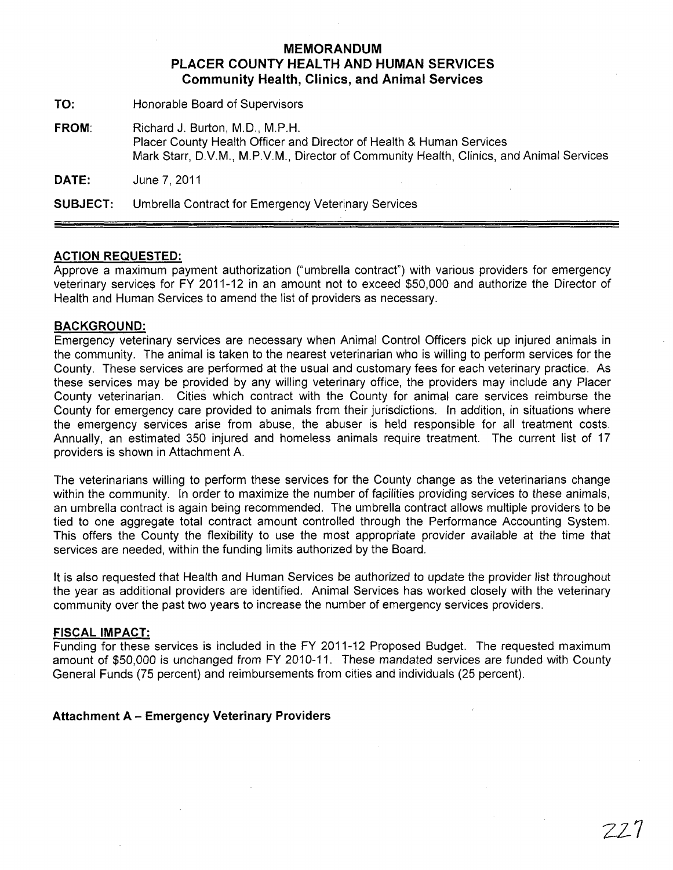# **MEMORANDUM PLACER COUNTY HEALTH AND HUMAN SERVICES Community Health, Clinics, and Animal Services**

**TO:** Honorable Board of Supervisors

**FROM:** Richard J. Burton, M.D., M.P.H. Placer County Health Officer and Director of Health & Human Services Mark Starr, D.V.M., M.PV.M., Director of Community Health, Clinics, and Animal Services

**DATE:** June 7,2011

**SUBJECT:** Umbrella Contract for Emergency Veterinary Services

#### **ACTION REQUESTED:**

Approve a maximum payment authorization ("umbrella contract") with various providers for emergency veterinary services for FY 2011-12 in an amount not to exceed \$50,000 and authorize the Director of Health and Human Services to amend the list of providers as necessary.

## **BACKGROUND:**

Emergency veterinary services are necessary when Animal Control Officers pick up injured animals in the community. The animal is taken to the nearest veterinarian who is willing to perform services for the County. These services are performed at the usual and customary fees for each veterinary practice. As these services may be provided by any willing veterinary office, the providers may include any Placer County veterinarian. Cities which contract with the County for animal care services reimburse the County for emergency care provided to animals from their jurisdictions. In addition, in situations where the emergency services arise from abuse, the abuser is held responsible for all treatment costs. Annually, an estimated 350 injured and homeless animals require treatment. The current list of 17 providers is shown in Attachment A.

The veterinarians willing to perform these services for the County change as the veterinarians change within the community. In order to maximize the number of facilities providing services to these animals, an umbrella contract is again being recommended. The umbrella contract allows multiple providers to be tied to one aggregate total contract amount controlled through the Performance Accounting System. This offers the County the flexibility to use the most appropriate provider available at the time that services are needed, within the funding limits authorized by the Board.

**It** is also requested that Health and Human Services be authorized to update the provider list throughout the year as additional providers are identified. Animal Services has worked closely with the veterinary community over the past two years to increase the number of emergency services providers.

#### **FISCAL IMPACT:**

Funding for these services is included in the FY 2011-12 Proposed Budget. The requested maximum amount of \$50,000 is unchanged from FY 2010-11. These mandated services are funded with County General Funds (75 percent) and reimbursements from cities and individuals (25 percent).

## **Attachment A - Emergency Veterinary Providers**